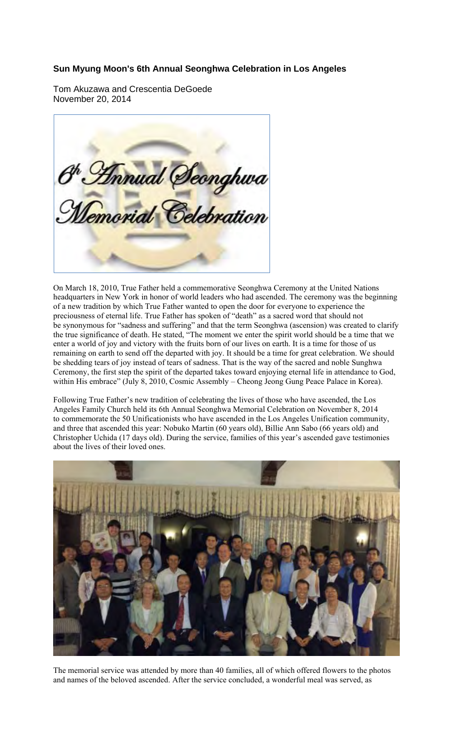## **Sun Myung Moon's 6th Annual Seonghwa Celebration in Los Angeles**

Tom Akuzawa and Crescentia DeGoede November 20, 2014



On March 18, 2010, True Father held a commemorative Seonghwa Ceremony at the United Nations headquarters in New York in honor of world leaders who had ascended. The ceremony was the beginning of a new tradition by which True Father wanted to open the door for everyone to experience the preciousness of eternal life. True Father has spoken of "death" as a sacred word that should not be synonymous for "sadness and suffering" and that the term Seonghwa (ascension) was created to clarify the true significance of death. He stated, "The moment we enter the spirit world should be a time that we enter a world of joy and victory with the fruits born of our lives on earth. It is a time for those of us remaining on earth to send off the departed with joy. It should be a time for great celebration. We should be shedding tears of joy instead of tears of sadness. That is the way of the sacred and noble Sunghwa Ceremony, the first step the spirit of the departed takes toward enjoying eternal life in attendance to God, within His embrace" (July 8, 2010, Cosmic Assembly – Cheong Jeong Gung Peace Palace in Korea).

Following True Father's new tradition of celebrating the lives of those who have ascended, the Los Angeles Family Church held its 6th Annual Seonghwa Memorial Celebration on November 8, 2014 to commemorate the 50 Unificationists who have ascended in the Los Angeles Unification community, and three that ascended this year: Nobuko Martin (60 years old), Billie Ann Sabo (66 years old) and Christopher Uchida (17 days old). During the service, families of this year's ascended gave testimonies about the lives of their loved ones.



The memorial service was attended by more than 40 families, all of which offered flowers to the photos and names of the beloved ascended. After the service concluded, a wonderful meal was served, as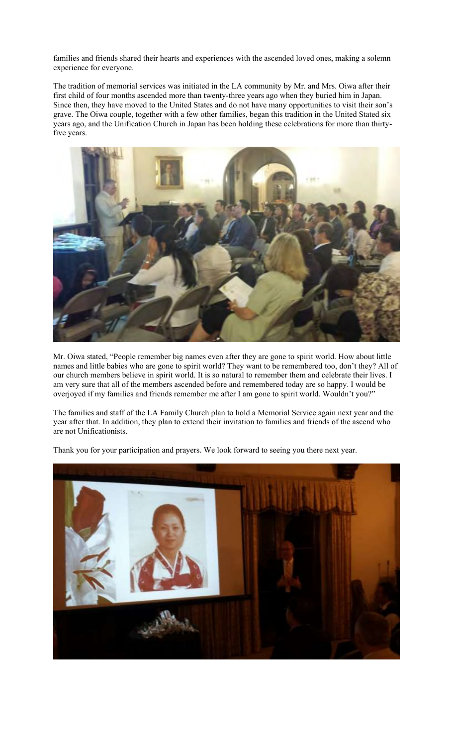families and friends shared their hearts and experiences with the ascended loved ones, making a solemn experience for everyone.

The tradition of memorial services was initiated in the LA community by Mr. and Mrs. Oiwa after their first child of four months ascended more than twenty-three years ago when they buried him in Japan. Since then, they have moved to the United States and do not have many opportunities to visit their son's grave. The Oiwa couple, together with a few other families, began this tradition in the United Stated six years ago, and the Unification Church in Japan has been holding these celebrations for more than thirtyfive years.



Mr. Oiwa stated, "People remember big names even after they are gone to spirit world. How about little names and little babies who are gone to spirit world? They want to be remembered too, don't they? All of our church members believe in spirit world. It is so natural to remember them and celebrate their lives. I am very sure that all of the members ascended before and remembered today are so happy. I would be overjoyed if my families and friends remember me after I am gone to spirit world. Wouldn't you?"

The families and staff of the LA Family Church plan to hold a Memorial Service again next year and the year after that. In addition, they plan to extend their invitation to families and friends of the ascend who are not Unificationists.